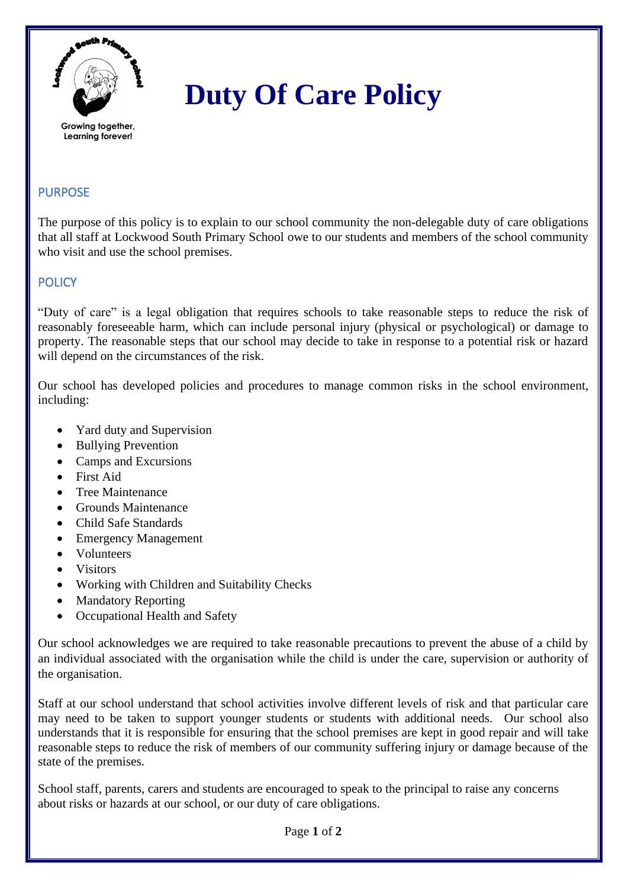

# **Duty Of Care Policy**

# **Learning forever!**

# **PURPOSE**

The purpose of this policy is to explain to our school community the non-delegable duty of care obligations that all staff at Lockwood South Primary School owe to our students and members of the school community who visit and use the school premises.

## **POLICY**

"Duty of care" is a legal obligation that requires schools to take reasonable steps to reduce the risk of reasonably foreseeable harm, which can include personal injury (physical or psychological) or damage to property. The reasonable steps that our school may decide to take in response to a potential risk or hazard will depend on the circumstances of the risk.

Our school has developed policies and procedures to manage common risks in the school environment, including:

- Yard duty and Supervision
- Bullying Prevention
- Camps and Excursions
- First Aid
- Tree Maintenance
- Grounds Maintenance
- Child Safe Standards
- Emergency Management
- Volunteers
- Visitors
- Working with Children and Suitability Checks
- Mandatory Reporting
- Occupational Health and Safety

Our school acknowledges we are required to take reasonable precautions to prevent the abuse of a child by an individual associated with the organisation while the child is under the care, supervision or authority of the organisation.

Staff at our school understand that school activities involve different levels of risk and that particular care may need to be taken to support younger students or students with additional needs. Our school also understands that it is responsible for ensuring that the school premises are kept in good repair and will take reasonable steps to reduce the risk of members of our community suffering injury or damage because of the state of the premises.

School staff, parents, carers and students are encouraged to speak to the principal to raise any concerns about risks or hazards at our school, or our duty of care obligations.

Page **1** of **2**